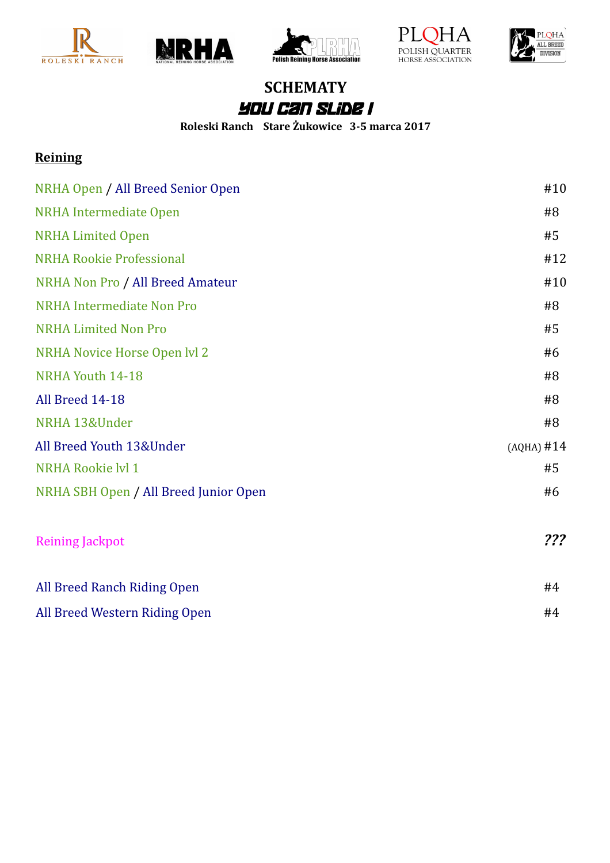









#### **SCHEMATY** You Can Slide I

**Roleski Ranch Stare Żukowice 3-5 marca 2017**

#### **Reining**

| NRHA Open / All Breed Senior Open     | #10          |
|---------------------------------------|--------------|
| <b>NRHA</b> Intermediate Open         | #8           |
| <b>NRHA Limited Open</b>              | #5           |
| <b>NRHA Rookie Professional</b>       | #12          |
| NRHA Non Pro / All Breed Amateur      | #10          |
| <b>NRHA Intermediate Non Pro</b>      | #8           |
| <b>NRHA Limited Non Pro</b>           | #5           |
| NRHA Novice Horse Open lvl 2          | #6           |
| NRHA Youth 14-18                      | #8           |
| All Breed 14-18                       | #8           |
| NRHA 13&Under                         | #8           |
| All Breed Youth 13&Under              | $(AQHA)$ #14 |
| NRHA Rookie lvl 1                     | #5           |
| NRHA SBH Open / All Breed Junior Open | #6           |
| <b>Reining Jackpot</b>                | 222          |
| All Breed Ranch Riding Open           | #4           |
| All Breed Western Riding Open         | #4           |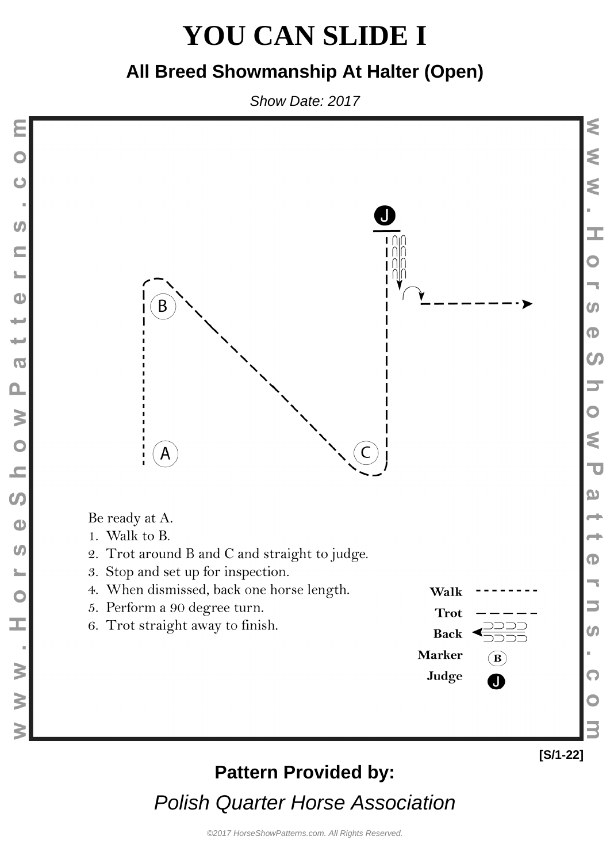#### **All Breed Showmanship At Halter (Open)**

Show Date: 2017



### **Pattern Provided by:**

Polish Quarter Horse Association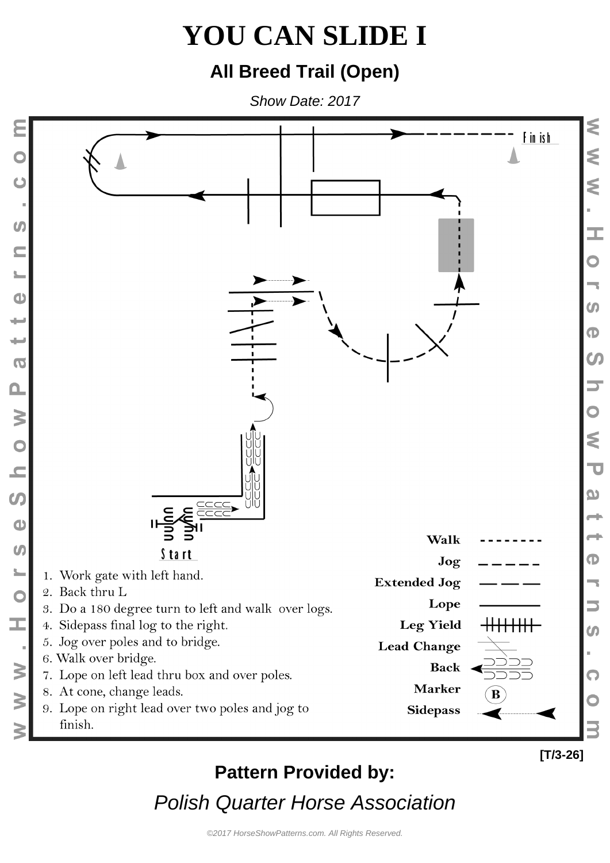#### **All Breed Trail (Open)**

Show Date: 2017



## **Pattern Provided by:**

Polish Quarter Horse Association

**[T/3-26]**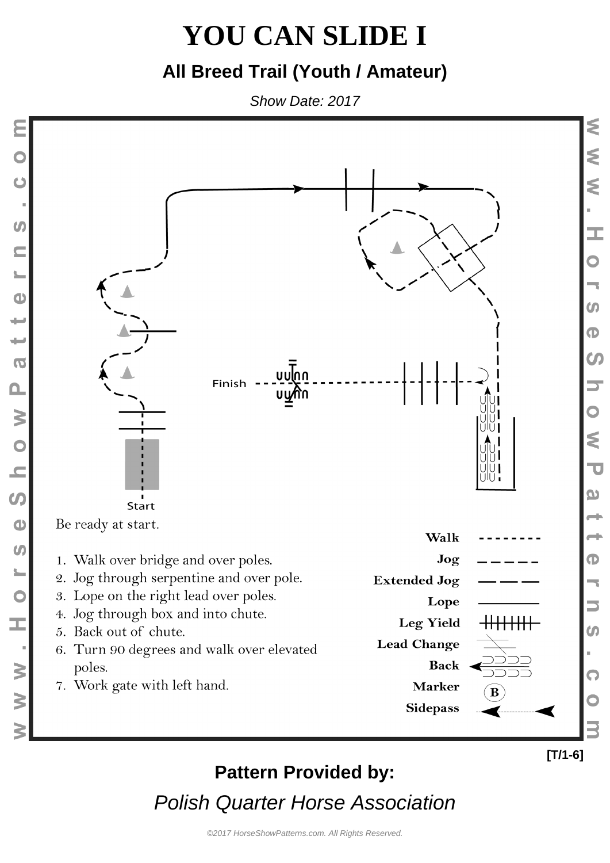### **All Breed Trail (Youth / Amateur)**

Show Date: 2017



## **Pattern Provided by:**

Polish Quarter Horse Association

**[T/1-6]**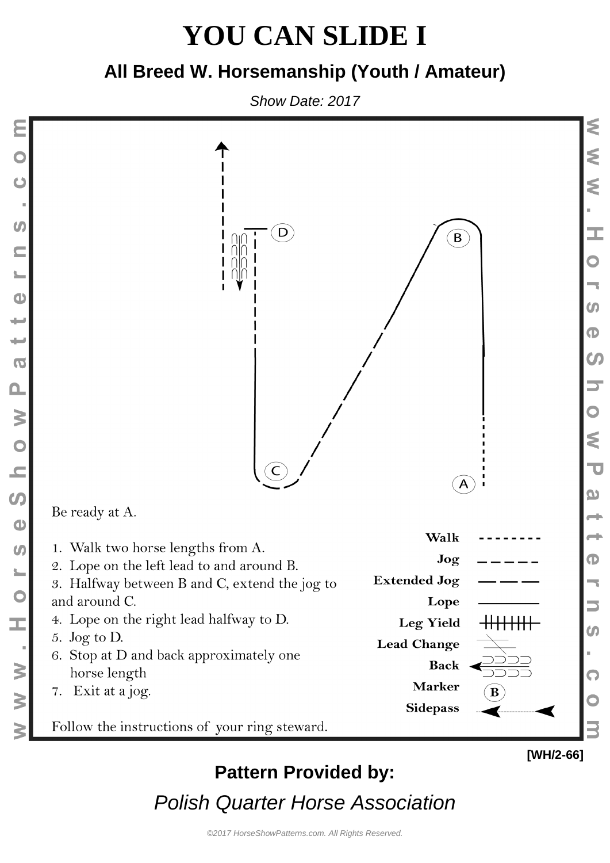#### **All Breed W. Horsemanship (Youth / Amateur)**

Show Date: 2017



### **Pattern Provided by:**

Polish Quarter Horse Association

**[WH/2-66]**